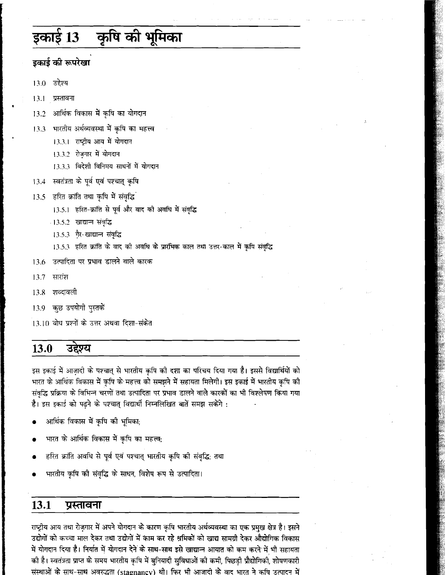### कृषि की भूमिका इकाई 13

## इकाई की रूपरेखा

 $13.0$ उद्देश्य

 $13.1$ प्रस्तावना

- आर्थिक विकास में कृषि का योगदान 13.2
- भारतीय अर्थव्यवस्था में कृषि का महत्त्व 13.3
	- 13.3.1 राष्ट्रीय आय में योगदान
	- 13.3.2 रोज़गार में योगदान
	- 13.3.3 विदेशी विनिमय साधनों में योगदान
- 13.4 स्वतंत्रता के पूर्व एवं पश्चात् कृषि
- 13.5 हरित क्रांति तथा कृषि में संवृद्धि
	- 13.5.1 हरित-क्रांति से पूर्व और बाद को अवधि में संवृद्धि
	- ा3.5.2 खाद्यान संवृद्धि
	- 13.5.3 गैर-खाद्यान्त संवृद्धि
	- 13.5.3 हरित क्रांति के वाद की अवधि के प्रारंभिक काल तथा उत्तर-काल में कृषि संवृद्धि
- उत्पादिता पर प्रभाव डालने वाले कारक 13.6
- 13.7 सारांश
- शब्दावली 13.8
- 13.9 कुछ उपयोगी पुस्तकें
- 13.10 बोध प्रश्नों के उत्तर अथवा दिशा-संकेत

#### उद्देश्य 13.0

इस इकाई में आज़ादी के पश्चात् से भारतीय कृषि की दशा का परिचय दिया गया है। इससे विद्यार्थियों को भारत के आर्थिक विकास में कृषि के महत्त्व को समझने में सहायता मिलेगी। इस इकाई में भारतीय कृषि की संवृद्धि प्रक्रिया के विभिन्न चरणों तथा उत्पादिता पर प्रभाव डालने वाले कारकों का भी विश्लेषण किया गया है। इस इकाई को पढ़ने के पश्चात् विद्यार्थी निम्नलिखित बातें समझ सकेंगे :

- आर्थिक विकास में कृषि की भूमिका;
- भारत के आर्थिक विकास में कृपि का महत्त्व;
- हरित क्रांति अवधि से पूर्व एवं पश्चात् भारतीय कृषि की संवृद्धि; तथा
- भारतीय कृषि की संवृद्धि के साधन, विशेष रूप से उत्पादिता।

#### 13.1 प्रस्तावना

राष्ट्रीय आय तथा रोज़गार में अपने योगदान के कारण कृषि भारतीय अर्थव्यवस्था का एक प्रमुख क्षेत्र है। इसने उद्योगों को कच्चा माल देकर तथा उद्योगों में काम कर रहे श्रमिकों को खाद्य सामग्री देकर औद्योगिक विकास में योगदान दिया है। निर्यात में योगदान देने के साथ-साथ इसे खाद्यान्न आयात को कम करने में भी सहायता की है। स्वतंत्रता प्राप्त के समय भारतीय कृषि में बुनियादी सुविधाओं की कमी, पिछड़ी प्रौद्योगिकी, शोषणकारी संस्थाओं के साथ-साथ अवरुद्धता (stagnancy) थी। फिर भी आजादी के वाद भारत ने कषि उत्पादन में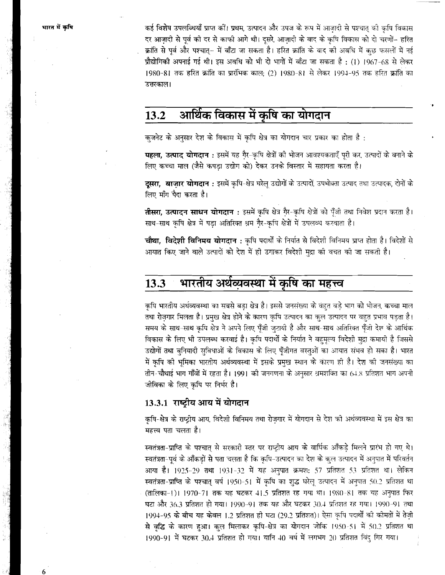भारत में कृषि

कई विशेष उपलब्धियाँ प्राप्त कों। प्रथम, उत्पादन और उपज के रूप में आजादी से पश्चात् की कृषि विकास दर आज़ादी से पूर्व को दर से काफी आगे थी। दूसरे, आज़ादी के बाद के कृषि विकास को दो चरणों– हरित क्रांति से पूर्व और पश्चात्- में बाँटा जा सकता है। हरित क्रांति के बाद को अवधि में कुछ फसलों में नई प्रौद्योगिकी अपनाई गई थी। इस अवधि को भी दो भागों में बाँटा जा सकता है : (1) 1967-68 से लेकर 1980-81 तक हरित क्रांति का प्रारंभिक काल: (2) 1980-81 से लेकर 1994-95 तक हरित क्रांति का उत्तरकाल।

#### आर्थिक विकास में कृषि का योगदान 13.2

क़्ज़नेट के अनुसार देश के विकास में कृषि क्षेत्र का योगदान चार प्रकार का होता है :

पहला, उत्पाद योगदान : इसमें यह गैर-कृषि क्षेत्रों की भोजन आवश्यकताएँ पूरी कर, उत्पादों के बनाने के लिए कच्चा माल (जैसे कपड़ा उद्योग को) देकर उनके विस्तार में सहायता करता है।

दूसरा, बाज़ार योगदान : इसमें कृषि-क्षेत्र घरेल् उद्योगों के उत्पादों, उपभोक्ता उत्पाद तथा उत्पादक, दोनों के लिए माँग पैदा करता है।

तीसरा, उत्पादन साधन योगदान : इसमें कृषि क्षेत्र गैर-कृषि क्षेत्रों को पुँजी तथा निवेश प्रदान करता है। साथ-साथ कृषि क्षेत्र में पड़ा अतिरिक्त श्रम गै्र-कृषि क्षेत्रों में उपलब्ध करवाता है।

चौथा, विदेशी विनिमय योगदान : कृषि पदार्थों के निर्यात से विदेशी विनिमय प्राप्त होता है। विदेशों से आयात किए जाने वाले उत्पादों को देश में ही उगाकर विदेशी मद्रा को वचत को जा सकती है।

### भारतीय अर्थव्यवस्था में कृषि का महत्त्व 13.3

कृषि भारतीय अर्थव्यवस्था का सबसे बड़ा क्षेत्र है। इससे जनसंख्या के वहत बड़े भाग को भोजन, कच्चा माल तथा रोज़गार मिलता है। प्रमुख क्षेत्र होने के कारण कृषि उत्पादन का कुल उत्पादन पर बहुत प्रभाव पड़ता है। समय के साथ-साथ कृषि क्षेत्र ने अपने लिए पूँजी जुटायी है और साथ-साथ अतिरिक्त पूँजी देश के आर्थिक विकास के लिए भी उपलब्ध करवाई है। कृषि पदार्थों के निर्यात ने बहुमूल्य विदेशी मुद्रा कमायी है जिससे उद्योगों तथा बुनियादी सुविधाओं के विकास के लिए पूँजीगत वस्तुओं का आयात संभव हो सका है। भारत में कृषि को भूमिका भारतीय अर्थव्यवस्था में इसके प्रमुख स्थान के कारण ही है। देश को जनसंख्या का तीन-चौथाई भाग गाँवों में रहता है। 1991 की जनगणना के अनुसार श्रमशक्ति का 64.8 प्रतिशत भाग अपनी जीविका के लिए कृषि पर निर्भर है।

## 13.3.1 राष्ट्रीय आय में योगदान

कृषि-क्षेत्र के राष्ट्रीय आय, विदेशी विनिमय तथा रोजगार में योगदान से देश को अर्थव्यवस्था में इस क्षेत्र का महत्त्व पता चलता है।

स्वतंत्रता-प्राप्ति के पश्चात् से सरकारी स्तर पर राष्ट्रीय आय के वार्षिक आँकड़े मिलने प्रारंभ हो गए थे। स्वतंत्रता-पूर्व के आँकड़ों से पता चलता है कि कृषि-उत्पादन का देश के कुल उत्पादन में अनुपात में परिवर्तन आया है। 1925-29 तथा 1931-32 में यह अनुपात क्रमश: 57 प्रतिशत 53 प्रतिशत था। लेकिन स्वतंत्रता-प्राप्ति के पश्चात् वर्ष 1950-51 में कृषि का शुद्ध घरेलू उत्पादन में अनुपात 50.2 प्रतिशत था (तालिका-1)। 1970-71 तक यह घटकर 41.5 प्रतिशत रह गया था। 1980-81 तक यह अनुपात फिर घटा और 36.3 प्रतिशत हो गया। 1990-91 तक यह और घटकर 30.4 प्रतिशत रह गया। 1990-91 तथा 1994-95 के बीच यह केवल 1.2 प्रतिशत ही घटा (29.2 प्रतिशत)। ऐसा कृषि पदार्थों की कोमतों में तेज़ी से वृद्धि के कारण हुआ। कुल मिलाकर कृषि-क्षेत्र का योगदान जोकि 1950-51 में 50.2 प्रतिशत था 1990-91 में घटकर 30.4 प्रतिशत हो गया। यानि 40 वर्ष में लगभग 20 प्रतिशत विंदु गिर गया।

6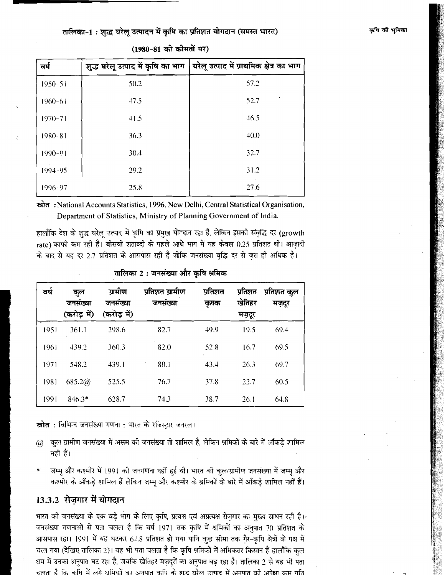### तालिका-1: शुद्ध घरेलू उत्पादन में कृषि का प्रतिशत योगदान (समस्त भारत)

| वर्ष        | शुद्ध घरेलू उत्पाद में कृषि का भाग | घरेलू उत्पाद में प्राथमिक क्षेत्र का भाग |
|-------------|------------------------------------|------------------------------------------|
| $1950 - 51$ | 50.2                               | 57.2                                     |
| $1960 - 61$ | 47.5                               | 52.7                                     |
| $1970 - 71$ | 41.5                               | 46.5                                     |
| $1980 - 81$ | 36.3                               | 40.0                                     |
| $1990 - 91$ | 30.4                               | 32.7                                     |
| 1994-95     | 29.2                               | 31.2                                     |
| 1996-97     | 25.8                               | 27.6                                     |

(1980-81 की कीमतों पर)

स्रोत: National Accounts Statistics, 1996, New Delhi, Central Statistical Organisation, Department of Statistics, Ministry of Planning Government of India.

हालाँकि देश के शुद्ध घरेल् उत्पाद में कृषि का प्रमुख योगदान रहा है, लेकिन इसकी संवृद्धि दर (growth rate) काफी कम रही है। बीसवीं शताब्दी के पहले आधे भाग में यह केवल 0.25 प्रतिशत थी। आज़ादी के बाद से यह दर 2.7 प्रतिशत के आसपास रही है जोकि जनसंख्या वृद्धि-दर से जरा ही अधिक है।

| वर्ष | कुल<br>जनसंख्या<br>(करोड़ में) | ग्रामीण<br>जनसंख्या<br>(करोड़ में) | प्रतिशत ग्रामीण<br>जनसंख्या | प्रतिशत<br>कृषक | प्रतिशत<br>खेतिहर<br>मज़दूर | प्रतिशत कुल<br>मज़दूर |
|------|--------------------------------|------------------------------------|-----------------------------|-----------------|-----------------------------|-----------------------|
| 1951 | 361.1                          | 298.6                              | 82.7                        | 49.9            | 19.5                        | 69.4                  |
| 1961 | 439.2                          | 360.3                              | 82.0                        | 52.8            | 16.7                        | 69.5                  |
| 1971 | 548.2                          | 439.1                              | 80.1                        | 43.4            | 26.3                        | 69.7                  |
| 1981 | 685.2@                         | 525.5                              | 76.7                        | 37.8            | 22.7                        | 60.5                  |
| 1991 | $846.3*$                       | 628.7                              | 74.3                        | 38.7            | 26.1                        | 64.8                  |

तालिका 2: जनसंख्या और कृषि श्रमिक

स्त्रोत : विभिन्न जनसंख्या गणना : भारत के रजिस्ट्रार जनरल।

- कुल ग्रामीण जनसंख्या में असम की जनसंख्या तो शामिल है, लेकिन श्रमिकों के बारे में आँकड़े शामिल  $\mathcal{a}$ नहीं हैं।
- जम्मू और कश्मीर में 1991 की जनगणना नहीं हुई थी। भारत की कुल/ग्रामीण जनसंख्या में जम्मू और कश्मीर के आँकड़े शामिल हैं लेकिन जम्मू और कश्मीर के श्रमिकों के बारे में आँकड़े शामिल नहीं हैं।

## 13.3.2 रोजगार में योगदान

भारत की जनसंख्या के एक वड़े भाग के लिए कृषि, प्रत्यक्ष एवं अप्रत्यक्ष रोज़गार का मुख्य साधन रही है। जनसंख्या गणनाओं से पता चलता है कि वर्ष 1971 तक कृषि में श्रमिकों का अनुपात 70 प्रतिशत के आसपास रहा। 1991 में यह घटकर 64.8 प्रतिशत हो गया यानि कुछ सीमा तक गैर-कृषि क्षेत्रों के पक्ष में चला गया (देखिए तालिका 2)। यह भी पता चलता है कि कृषि श्रमिकों में अधिकतर किसान हैं हालाँकि कुल श्रम में उनका अनुपात घट रहा है, जबकि खेतिहर मज़दूरों का अनुपात बढ़ रहा है। तालिका 2 से यह भी पता चलता है कि कपि में लगे श्रमिकों का अनपात कपि के श्रद्ध घरेल उत्पाद में अनपात की अपेक्षा कम गति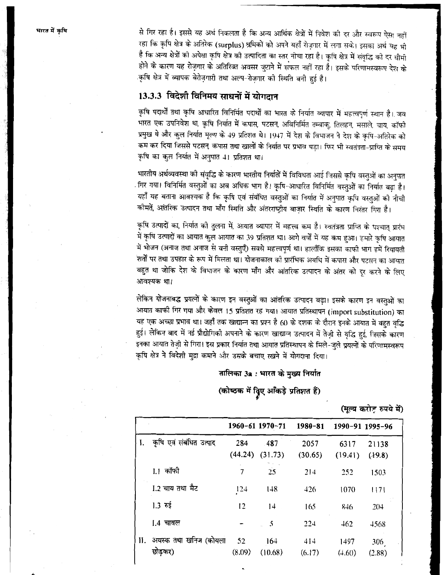से गिर रहा है। इससे यह अर्थ निकलता है कि अन्य आर्थिक क्षेत्रों में निवेश की दर और स्वरूप ऐसा नहीं रहा कि कृषि क्षेत्र के अतिरेक (surplus) श्रमिकों को अपने यहाँ रोज़गार में लगा सके। इसका अर्थ यह भी है कि अन्य क्षेत्रों को अपेक्षा कृषि क्षेत्र को उत्पादिता का स्तर नीचा रहा है। कृषि क्षेत्र में संवृद्धि को दर धीमी होने के कारण यह रोज़गार के अतिरिक्त अवसर जुटाने में सफल नहीं रहा है। इसके परिणामस्वरूप देश के कृषि क्षेत्र में व्यापक बेरोज़गारी तथा अल्प-रोज़गार को स्थिति बनी हुई है।

## 13.3.3 विदेशी विनिमय साधनों में योगदान

कृषि पदार्थों तथा कृषि आधारित विनिर्मित पदार्थों का भारत के निर्यात व्यापार में महत्त्वपूर्ण स्थान है। जब ्<br>भारत एक उपनिवेश था, कृषि निर्यात में कपास, पटसन, अविनिर्मित तम्बाकू तिलहन, मसाले, चाय, कॉफी प्रमुख थे और कुल निर्यात मूल्य के 49 प्रतिशत थे। 1947 में देश के विभाजन ने देश के कृषि-अतिरेक को कम कर दिया जिससे पटसन, कपास तथा खालों के निर्यात पर प्रभाव पड़ा। फिर भी स्वतंत्रता-प्राप्ति के समय कृषि का कुल निर्यात में अनुपात 41 प्रतिशत था।

भारतीय अर्थव्यवस्था को संवृद्धि के कारण भारतीय निर्यातों में विविधता आई जिससे कृषि वस्तुओं का अनुपात गिर गया। विनिर्मित वस्तुओं का अब अधिक भाग है। कृषि-आधारित विनिर्मित वस्तुओं का निर्यात बढ़ा है। यहाँ यह बताना आवश्यक है कि कृषि एवं संबंधित वस्तुओं का निर्यात में अनुपात कृषि वस्तुओं को नीची कोमतें, आंतरिक उत्पादन तथा माँग स्थिति और अंतरराष्ट्रीय बाजार स्थिति के कारण निरंतर गिरा है।

कृषि उत्पादों का, निर्यात की तुलना में, आयात व्यापार में महत्त्व कम है। स्वतंत्रता प्राप्ति के पश्चात् प्रारंभ में कृषि उत्पादों का आयात कुल आयात का 39 प्रतिशत था। आगे वर्षों में यह कम हुआ। हमारे कृषि आयात में भोजन (अनाज तथा अनाज से बनी वस्तुएँ) सबसे महत्त्वपूर्ण था। हालाँकि इसका काफी भाग हमें रियायती शर्तों पर तथा उपहार के रूप में मिलता था। योजनाकाल को प्रारंभिक अवधि में कपास और पटसन का आयात बहुत था जोकि देश के विभाजन के कारण माँग और आंतरिक उत्पादन के अंतर को दूर करने के लिए आवश्यक था।

लेकिन योजनाबद्ध प्रयत्नों के कारण इन वस्तुओं का आंतरिक उत्पादन बढ़ा। इसके कारण इन वस्तुओं का आयात काफी गिर गया और केवल 15 प्रतिशत रह गया। आयात प्रतिस्थापन (import substitution) का यह एक अच्छा प्रभाव था। जहाँ तक खाद्यान्न का प्रश्न है 60 के दशक के दौरान इनके आयात में बहुत वृद्धि हुई। लेकिन बाद में नई प्रौद्योगिकी अपनाने के कारण खाद्यान्न उत्पादन में तेज़ी से वृद्धि हुई, जिसके कारण इनका आयात तेज़ी से गिरा। इस प्रकार निर्यात तथा आयात प्रतिस्थापन के मिले-जुले प्रयत्नों के परिणामस्वरूप कृषि क्षेत्र ने विदेशी मुद्रा कमाने और उसके बचाए रखने में योगदाना दिया।

## तालिका 3a : भारत के मुख्य निर्यात

(कोष्ठक में विृूए आँकड़े प्रतिशत हैं)

### (मूल्य करोड़ रुपये में)

|    |                                  |                | 1960-61 1970-71 | 1980-81         | 1990-91 1995-96 |                 |  |
|----|----------------------------------|----------------|-----------------|-----------------|-----------------|-----------------|--|
| I. | कृषि एवं संबंधित उत्पाद          | 284<br>(44.24) | .487<br>(31.73) | 2057<br>(30.65) | 6317<br>(19.41) | 21138<br>(19.8) |  |
|    | I.1 कॉफी                         | 7              | 25              | 214             | 252             | 1503            |  |
|    | I.2 चाय तथा मैट                  | 124            | 148             | 426             | 1070            | 1171            |  |
|    | $1.3 \text{ } \bar{\text{ } 55}$ | 12             | 14              | 165             | 846             | 204             |  |
|    | 1.4 चावल                         |                | .5              | 224             | 462             | 4568            |  |
| И. | अयस्क तथा खनिज (कोयला<br>छोड़कर) | 52<br>(8.09)   | 164<br>(10.68)  | 414<br>(6.17)   | 1497<br>(4.60)  | 306<br>(2.88)   |  |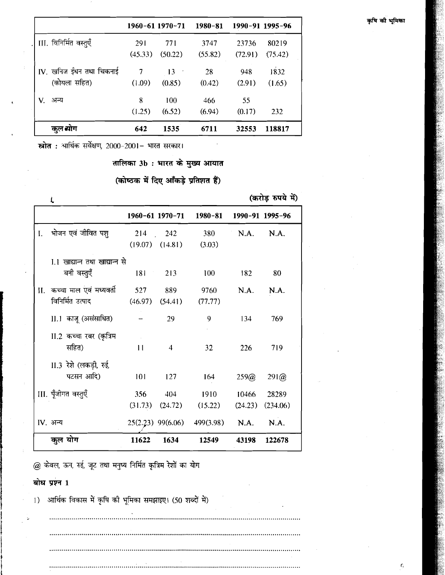### कृषि की भूमिका

|                          |            | 1960-61 1970-71 | 1980-81 |         | 1990-91 1995-96 |
|--------------------------|------------|-----------------|---------|---------|-----------------|
| III. विनिर्मित वस्तुएँ   | <b>291</b> | 771             | 3747    | 23736   | 80219           |
|                          | (45.33)    | (50.22)         | (55.82) | (72.91) | (75.42)         |
| IV. खनिज ईंधन तथा चिकनाई | 7          | $\overline{13}$ | 28      | 948     | 1832            |
| (कोयला सहित)             | (1.09)     | (0.85)          | (0.42)  | (2.91)  | (1.65)          |
| V.<br>अन्य               | 8          | 100             | 466     | 55      |                 |
|                          | (1.25)     | (6.52)          | (6.94)  | (0.17)  | 232             |
| कुल योग                  | 642        | 1535            | 6711    | 32553   | 118817          |

स्रोत : आर्थिक सर्वेक्षण, 2000-2001- भारत सरकार।

तालिका 3b : भारत के मुख्य आयात

(कोष्ठक में दिए आँकड़े प्रतिशत हैं)

|    | Ł                              |              |                     |                                       |         | (करोड़ रुपये में) |
|----|--------------------------------|--------------|---------------------|---------------------------------------|---------|-------------------|
|    |                                |              | 1960-61 1970-71     | 1980-81                               |         | 1990-91 1995-96   |
| I. | भोजन एवं जीवित पश्             |              | 214 242             | 380                                   | N.A.    | N.A.              |
|    |                                |              | $(19.07)$ $(14.81)$ | (3.03)                                |         |                   |
|    | I.1 खाद्यान्त तथा खाद्यान्त से |              |                     |                                       |         |                   |
|    | बनी वस्तुएँ                    |              | 181 213             | 100                                   | 182     | 80                |
| П. | कच्चा माल एवं मध्यवर्ती        | 527 889      |                     | 9760                                  | N.A.    | N.A.              |
|    | विनिर्मित उत्पाद               |              | $(46.97)$ $(54.41)$ | (77.77)                               |         |                   |
|    | II.1 काजू (असंसाधित)           |              | 29                  | 9                                     | 134     | 769               |
|    | II.2 कच्चा रबर (कृत्रिम        |              |                     |                                       |         |                   |
|    | सहित)                          | $\mathbf{1}$ | $\overline{4}$      | 32                                    | 226     | 719               |
|    | II.3 रेशे (लकड़ी, रुई,         |              |                     |                                       |         |                   |
|    | पटसन आदि)                      | 101          | 127                 | 164                                   | 259@    | 291@              |
|    | III. पूँजीगत वस्तुएँ           | 356          | 404                 | 1910                                  | 10466   | 28289             |
|    |                                |              | $(31.73)$ $(24.72)$ | (15.22)                               | (24.23) | (234.06)          |
|    | IV. अन्य                       |              |                     | 25(2.23) 99(6.06) 499(3.98) N.A. N.A. |         |                   |
|    | कुल योग                        | 11622        | 1634                | 12549                                 | 43198   | 122678            |

@ केवल, ऊन, रुई, जूट तथा मनुष्य निर्मित कृत्रिम रेशों का योग

## बोध प्रश्न 1

आर्थिक विकास में कृषि की भूमिका समझाइए। (50 शब्दों में)  $\left( \right)$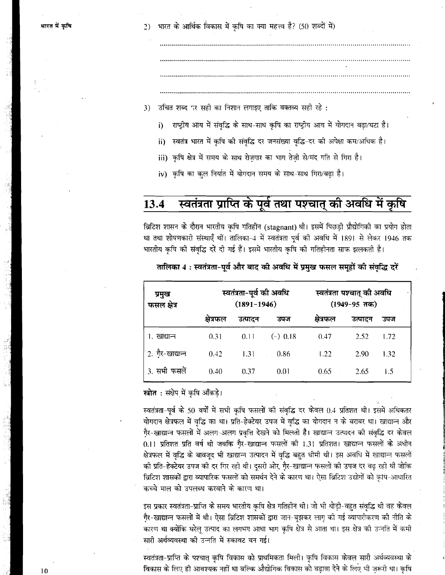भारत के आर्थिक विकास में कृषि का क्या महत्त्व है? (50 शब्दों में)  $2)$ 

उचित शब्द पर सही का निशान लगाइए ताकि वक्तव्य सही रहे :  $3)$ 

- राष्ट्रीय आय में संवृद्धि के साथ-साथ कृषि का राष्ट्रीय आय में योगदान बढ़ा/घटा है। i)
- स्वतंत्र भारत में कृषि की संवृद्धि दर जनसंख्या वृद्धि-दर की अपेक्षा कम/अधिक है। ii)
- iii) कृषि क्षेत्र में समय के साथ रोज़गार का भाग तेज़ी से/मंद गति से गिरा है।
- iv) कृषि का कुल निर्यात में योगदान समय के साथ-साथ गिरा/बढा है।

### स्वतंत्रता प्राप्ति के पूर्व तथा पश्चात् की अवधि में कृषि 13.4

ब्रिटिश शासन के दौरान भारतीय कृषि गतिहीन (stagnant) थी। इसमें पिछड़ी प्रौद्योगिकी का प्रयोग होता था तथा शोषणकारी संस्थाएँ थीं। तालिका-4 में स्वतंत्रता पूर्व की अवधि में 1891 से लेकर 1946 तक भारतीय कृषि की संवृद्धि दरें दी गई हैं। इसमें भारतीय कृषि की गतिहीनता साफ झलकती है।

| प्रमुख<br>फसल क्षेत्र | स्वतंत्रता-पूर्व की अवधि<br>$(1891 - 1946)$ |         |            | स्वतंत्रता पश्चात् की अवधि<br>$(1949-95 \text{ }\pi\text{m})$ |         |      |
|-----------------------|---------------------------------------------|---------|------------|---------------------------------------------------------------|---------|------|
|                       | क्षेत्रफल                                   | उत्पादन | उपज        | क्षेत्रफल                                                     | उत्पादन | उपज  |
| 1. खाद्यान्न          | 0.31                                        | 0.11    | $(-)$ 0.18 | 0.47                                                          | 2.52    | 1.72 |
| 2. गैर-खाद्यान्न      | 0.42                                        | 1.31    | 0.86       | 1.22                                                          | 2.90    | 1.32 |
| 3. सभी फसलें          | 0.40                                        | 0.37    | 0.01       | 0.65                                                          | 2.65    | 1.5  |

तालिका 4: स्वतंत्रता-पूर्व और बाद की अवधि में प्रमुख फसल समूहों की संवृद्धि दरें

### **स्त्रोत :** संक्षेप में कृषि आँकडे।

स्वतंत्रता-पूर्व के 50 वर्षों में सभी कृषि फसलों की संवृद्धि दर केवल 0.4 प्रतिशत थी। इसमें अधिकतर योगदान क्षेत्रफल में वृद्धि का था। प्रति-हेक्टेयर उपज में वृद्धि का योगदान न के बराबर था। खाद्यान्न और गैर-खाद्यान्न फसलों में अलग-अलग प्रवृत्ति देखने को मिलती है। खाद्यान्न उत्पादन की संवृद्धि दर केवल 0.11 प्रतिशत प्रति वर्ष थी जबकि गैर-खाद्यान्न फसलों की 1.31 प्रतिशत। खाद्यान्न फसलों के अधीन क्षेत्रफल में वृद्धि के बावजूद भी खाद्यान्न उत्पादन में वृद्धि बहुत धीमी थी। इस अवधि में खाद्यान्न फसलों की प्रति-हेक्टेयर उपज की दर गिर रही थी। दूसरी ओर, गै़र-खाद्यान्न फसलों की उपज दर बढ़ रही थी जोकि ब्रिटिश शासकों द्वारा व्यापारिक फसलों को समर्थन देने के कारण था। ऐसा ब्रिटिश उद्योगों को कृषि-आधारित कच्चे माल को उपलब्ध करवाने के कारण था।

इस प्रकार स्वतंत्रता-प्राप्ति के समय भारतीय कृषि क्षेत्र गतिहीन थी। जो भी थोड़ी-बहुत संवृद्धि थी वह केवल गै्र-खाद्यान्न फसलों में थी। ऐसा ब्रिटिश शासकों द्वारा जान-बूझकर लागू को गई व्यापारीकरण की नीति के कारण था क्योंकि घरेलू उत्पाद का लगभग आधा भाग कृषि क्षेत्र से आता था। इस क्षेत्र की उन्नति में कमी सारी अर्थव्यवस्था की उन्नति में रुकावट बन गई।

स्वतंत्रता-प्राप्ति के पश्चात् कृषि विकास को प्राथमिकता मिली। कृषि विकास केवल सारी अर्थव्यवस्था के विकास के लिए ही आवश्यक नहीं था बल्कि औद्योगिक विकास को बढ़ावा देने के लिए भी ज़रूरी था। कृषि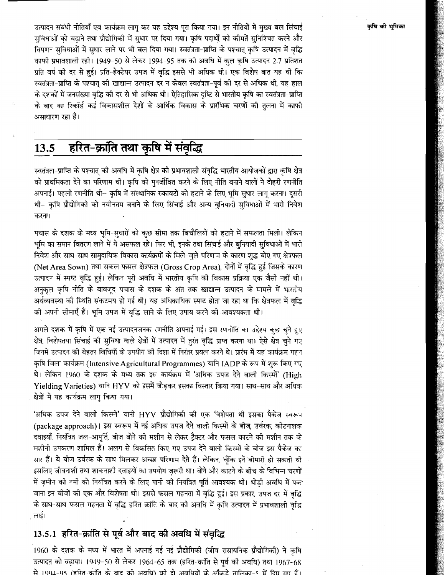उत्पादन संबंधी नीतियाँ एवं कार्यक्रम लागू कर यह उद्देश्य पुरा किया गया। इन नीतियों में मुख्य बल सिंचाई सुविधाओं को बढाने तथा प्रौद्योगिकी में सुधार पर दिया गया। कृषि पदार्थों को कीमतें सुनिश्चित करने और विपणन सविधाओं में सुधार लाने पर भी बल दिया गया। स्वतंत्रता-प्राप्ति के पश्चात् कृषि उत्पादन में वृद्धि काफी प्रभावशाली रही। 1949-50 से लेकर 1994-95 तक को अवधि में कुल कृषि उत्पादन 2.7 प्रतिशत प्रति वर्ष को दर से हुई। प्रति-हेक्टेयर उपज में वृद्धि इससे भी अधिक थी। एक विशेष बात यह थी कि स्वतंत्रता-प्राप्ति के पश्चात् की खाद्यान्न उत्पादन दर न केवल स्वतंत्रता-पूर्व को दर से अधिक थी, यह हाल के दशकों में जनसंख्या वृद्धि को दर से भी अधिक थी। ऐतिहासिक दृष्टि से भारतीय कृषि का स्वतंत्रता-प्राप्ति के बाद का रिकॉर्ड कई विकासशील देशों के आर्थिक विकास के प्रारंभिक चरणों को तुलना में काफी असाधारण रहा है।

### हरित-क्रांति तथा कृषि में संवृद्धि 13.5

स्वतंत्रता-प्राप्ति के पश्चात् को अवधि में कृषि क्षेत्र को प्रभावशाली संवृद्धि भारतीय आयोजकों द्वारा कृषि क्षेत्र को प्राथमिकता देने का परिणाम थी। कृषि को पुनर्जीवित करने के लिए नीति बनाने वालों ने दोहरी रणनीति अपनाई। पहली रणनीति थी– कृषि में संस्थानिक रुकावटों को हटाने के लिए भूमि सुधार लागु करना। दुसरी थी– कृषि प्रौद्योगिको को नवीनतम बनाने के लिए सिंचाई और अन्य बुनियादी सुविधाओं में भारी निवेश करना।

पचास के दशक के मध्य भूमि-सुधारों को कुछ सीमा तक बिचौलियों को हटाने में सफलता मिली। लेकिन भूमि का समान वितरण लाने में ये असफल रहे। फिर भी, इनके तथा सिंचाई और बुनियादी सुविधाओं में भारी निवेश और साथ-साथ सामुदायिक विकास कार्यक्रमों के मिले-जुले परिणाम के कारण शुद्ध वोए गए क्षेत्रफल (Net Area Sown) तथा सकल फसल क्षेत्रफल (Gross Crop Area), दोनों में वृद्धि हुई जिसके कारण उत्पादन में स्पष्ट वृद्धि हुई। लेकिन पूरी अवधि में भारतीय कृषि की विकास प्रक्रिया एक जैसी नहीं थी। अनुकूल कृषि नीति के बावजूद पचास के दशक के अंत तक खाद्यान्न उत्पादन के मामले में भारतीय अर्थव्यवस्था की स्थिति संकटमय हो गई थी। यह अधिकाधिक स्पष्ट होता जा रहा था कि क्षेत्रफल में वृद्धि को अपनी सीमाएँ हैं। भूमि उपज में वृद्धि लाने के लिए उपाय करने की आवश्यकता थी।

अगले दशक में कृषि में एक नई उत्पादनजनक रणनीति अपनाई गई। इस रणनीति का उद्देश्य कुछ चुने हुए क्षेत्र, विशेषतया सिंचाई को सुविधा वाले क्षेत्रों में उत्पादन में तुरंत वृद्धि प्राप्त करना था। ऐसे क्षेत्र चुने गए जिनमें उत्पादन की बेहतर विधियों के उपयोग की दिशा में निरंतर प्रयत्न करने थे। प्रारंभ में यह कार्यक्रम गहन कृषि जिला कार्यक्रम (Intensive Agricultural Programmes) यानि IADP के रूप में शुरू किए गए थे। लेकिन 1960 के दशक के मध्य तक इस कार्यक्रम में 'अधिक उपज देने वाली किस्मों' (High Yielding Varieties) यानि HYV को इसमें जोड़कर इसका विस्तार किया गया। साथ-साथ और अधिक क्षेत्रों में यह कार्यक्रम लागू किया गया।

'अधिक उपज देने वालो किस्मों' यानी HYV प्रौद्योगिको को एक विशेषता थी इसका पैकेज स्वरूप (package approach)। इस स्वरूप में नई अधिक उपज देने वाली किस्मों के बीज, उर्वरक, कीटनाशक दवाइयाँ, नियंत्रित जल-आपति, बीज बोने को मशीन से लेकर टैक्टर और फसल काटने को मशीन तक के मशीनी उपकरण शामिल हैं। अलग से विकसित किए गए उपज देने वाली किस्मों के बीज इस पैकेज का सार हैं। ये बीज उर्वरक के साथ मिलकर अच्छा परिणाम देते हैं। लेकिन, चूँकि इनें बीमारी हो सकती थी इसलिए जीवनाशी तथा शाकनाशी दवाइयों का उपयोग ज़रूरी था। बोने और काटने के बीच के विभिन्न चरणों में ज़मीन को नमी को नियंत्रित करने के लिए पानी को नियंत्रित पूर्ति आवश्यक थी। थोड़ी अवधि में पक जाना इन बीजों की एक और विशेषता थी। इससे फसल गहनता में वृद्धि हुई। इस प्रकार, उपज दर में वृद्धि के साथ-साथ फसल गहनता में वृद्धि हरित क्रांति के बाद को अवधि में कृषि उत्पादन में प्रभावशाली वृद्धि लाई।

## 13.5.1 हरित-क्रांति से पूर्व और बाद की अवधि में संवृद्धि

1960 के दशक के मध्य में भारत में अपनाई गई नई प्रौद्योगिकी (जीव रासायनिक प्रौद्योगिकी) ने कृषि उत्पादन को वढ़ाया। 1949-50 से लेकर 1964-65 तक (हरित-क्रांति से पूर्व की अवधि) तथा 1967-68 से 1994-95 (हरित-कॉति के बाद की अवधि) की दो अवधियों के आँकड़े तालिका-5 में दिए गए हैं।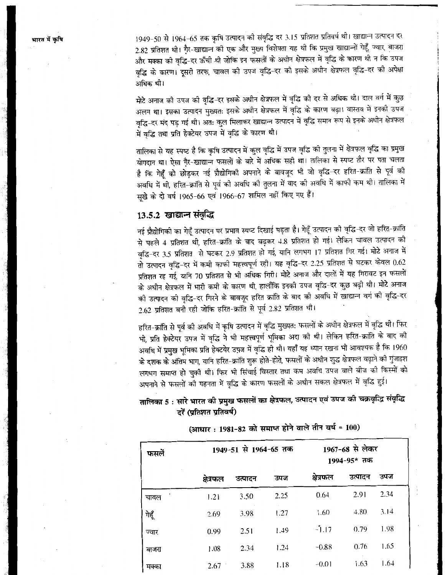भारत में कृषि

1949-50 से 1964-65 तक कृषि उत्पादन को संवृद्धि दर 3.15 प्रतिशत प्रतिवर्ष थी। खाद्यान्न उत्पादन दर 2.82 प्रतिशत थी। गैर-खाद्यान्न को एक और मुख्य विशेषता यह थी कि प्रमुख खाद्यान्नों गेहूँ, ज्वार, बाजरा और मक्का की वृद्धि-दर ऊँची थी जोकि इन फसलों के अधीन क्षेत्रफल में वृद्धि के कारण थी न कि उपज वृद्धि के कारण। दूसरी तरफ, चावल को उपज वृद्धि-दर को इसके अधीन क्षेत्रफल वृद्धि-दर को अपेक्षा अधिक थी।

मोटे अनाज को उपज को वृद्धि-दर इसके अधीन क्षेत्रफल में वृद्धि को दर से अधिक थी। दाल वर्ग में कुछ अलग था। इसका उत्पादन मुख्यत: इसके अधीन क्षेत्रफल में वृद्धि के कारण बढ़ा। वास्तव में इनकी उपज वृद्धि-दर मंद पड़ गई थी। अत: कुल मिलाकर खाद्यान्न उत्पादन में वृद्धि समान रूप से इनके अधीन क्षेत्रफल में वृद्धि तथा प्रति हेक्टेयर उपज में वृद्धि के कारण थी।

तालिका से यह स्पष्ट है कि कृषि उत्पादन में कुल वृद्धि में उपज वृद्धि की तुलना में क्षेत्रफल वृद्धि का प्रमुख योगदान था। ऐसा गैर-खाद्यान्न फसलों के बारे में अधिक सही था। तालिका से स्पष्ट तौर पर पता चलता है कि गेहूँ को छोड़कर नई प्रौद्योगिकी अपनाने के बावजूद भी जो वृद्धि-दर हरित-क्रांति से पूर्व को अवधि में थी, हरित-क्रांति से पूर्व को अवधि को तुलना में बाद को अवधि में काफी कम थी। तालिका में सूखे के दो वर्ष 1965-66 एवं 1966-67 शामिल नहीं किए गए हैं।

## 13.5.2 खाद्यान्न संवृद्धि

नई प्रौद्योगिकी का गेहूँ उत्पादन पर प्रभाव स्पष्ट दिखाई पड़ता है। गेहूँ उत्पादन की वृद्धि-दर जो हरित-क्रांति से पहले 4 प्रतिशत थी, हरित-क्रांति के बाद बढ़कर 4.8 प्रतिशत हो गई। लेकिन चावल उत्पादन को वृद्धि-दर 3.5 प्रतिशत से घटकर 2.9 प्रतिशत हो गई, यानि लगभग 17 प्रतिशत गिर गई। मोटे अनाज में तो उत्पादन वृद्धि-दर में कमी काफी महत्त्वपूर्ण रही। यह वृद्धि-दर 2.25 प्रतिशत से घटकर केवल 0.62 प्रतिशत रह गई, यानि 70 प्रतिशत से भी अधिक गिरी। मोटे अनाज और दालों में यह गिरावट इन फसलों के अधीन क्षेत्रफल में भारी कमी के कारण थी, हालाँकि इनकी उपज वृद्धि-दर कुछ बढ़ी थी। मोटे अनाज की उत्पादन को वृद्धि-दर गिरने के बावजूद हरित क्रांति के बाद को अवधि में खाद्यान्न वर्ग को वृद्धि-दर 2.62 प्रतिशत बनी रही जोकि हरित-क्रांति से पूर्व 2.82 प्रतिशत थी।

हरित-क्रांति से पूर्व को अवधि में कृषि उत्पादन में वृद्धि मुख्यत: फसलों के अधीन क्षेत्रफल में वृद्धि थी। फिर भी, प्रति हेक्टेयर उपज में वृद्धि ने भी महत्त्वपूर्ण भूमिका अदा को थी। लेकिन हरित-क्रांति के बाद को अवधि में प्रमुख भूमिका प्रति हेक्टयेर उपज में वृद्धि ही थी। यहाँ यह ध्यान रखना भी आवश्यक है कि 1960 के दशक के अंतिम भाग, यानि हरित-क्रांति शुरू होते-होते, फसलों के अधीन शुद्ध क्षेत्रफल बढ़ाने की गुंजाइश लगभग समाप्त हो चुकी थी। फिर भी सिंचाई विस्तार तथा कम अवधि उपज वाले बीज की किस्मों को अपनाने से फसलों को गहनता में वृद्धि के कारण फसलों के अधीन सकल क्षेत्रफल में वृद्धि हुई।

## तालिका 5 : सारे भारत की प्रमुख फसलों का क्षेत्रफल, उत्पादन एवं उपज की चक्रवृद्धि संवृद्धि दरें (प्रतिशत प्रतिवर्ष)

| फसलें | 1949-51 से 1964-65 तक |         |      | 1967-68 से लेकर<br>1994-95* तक |         |      |
|-------|-----------------------|---------|------|--------------------------------|---------|------|
|       | क्षेत्रफल             | उत्पादन | उपज  | क्षेत्रफल                      | उत्पादन | उपज  |
| चावल  | 1.21                  | 3.50    | 2.25 | 0.64                           | 2.91    | 2.34 |
| गेहूँ | 2.69                  | 3.98    | 1.27 | 1.60                           | 4.80    | 3.14 |
| ज्वार | 0.99                  | 2.51    | 1.49 | $-1.17$                        | 0.79    | 1.98 |
| बाजरा | 1.08                  | 2.34    | 1.24 | $-0.88$                        | 0.76    | 1.65 |
| मक्का | 2.67                  | 3.88    | 1.18 | $-0.01$                        | 1.63    | 1.64 |

(आधार: 1981-82 को समाप्त होने वाले तीन वर्ष = 100)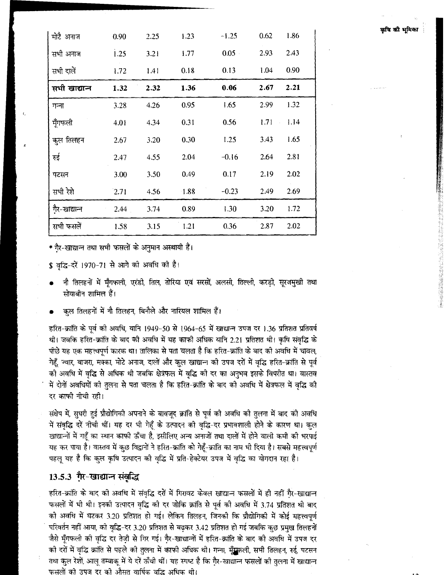| मोटै अनाज     | 0.90 | 2.25 | 1.23 | $-1.25$  | 0.62       | 1.86 |
|---------------|------|------|------|----------|------------|------|
| सभी अनाज      | 1.25 | 3.21 | 1.77 | $0.05 -$ | 2.93       | 2.43 |
| सभी दालें     | 1.72 | 1.41 | 0.18 | 0.13     | 1.04       | 0.90 |
| सभी खाद्यान्त | 1.32 | 2.32 | 1.36 | 0.06     | 2.67       | 2.21 |
| गन्ना         | 3.28 | 4.26 | 0.95 | 1.65     | 2.99       | 1.32 |
| मूँगफली       | 4.01 | 4.34 | 0.31 | 0.56     | 1.71<br>J. | 1.14 |
| कुल तिलहन     | 2.67 | 3.20 | 0.30 | 1.25     | 3.43       | 1.65 |
| रुई           | 2.47 | 4.55 | 2.04 | $-0.16$  | 2.64       | 2.81 |
| पटसन          | 3.00 | 3.50 | 0.49 | 0.17     | 2.19       | 2.02 |
| सभी रेशे      | 2.71 | 4.56 | 1.88 | $-0.23$  | 2.49       | 2.69 |
| गैर-खाद्यान्न | 2.44 | 3.74 | 0.89 | 1.30     | 3.20       | 1.72 |
| सभी फसलें     | 1.58 | 3.15 | 1.21 | 0.36     | 2.87       | 2.02 |

\* गैर-खाद्यान्न तथा सभी फसलों के अनुमान अस्थायी हैं।

\$ वृद्धि-दरें 1970-71 से आगे की अवधि की है।

- नौ तिलहनों में मूँगफली, एरंडी, तिल, तोरिया एवं सरसों, अलसी, तिल्ली, करड़ी, सूरजमुखी तथा सोयाबीन शामिल हैं।
- कूल तिलहनों में नौ तिलहन, बिनौले और नारियल शामिल हैं।

हरित-क्रांति के पूर्व को अवधि, यानि 1949–50 से 1964–65 में खाद्यान्न उपज दर 1.36 प्रतिशत प्रतिवर्ष थी। जबकि हरित-क्रांति के बाद की अवधि में यह काफी अधिक यानि 2.21 प्रतिशत थी। कृषि संवृद्धि के पीछे यह एक महत्त्वपूर्ण कारक था। तालिका से पता चलता है कि हरित-क्रांति के बाद की अवधि में चावल, गेहूँ, ज्वार, बाजरा, मक्का, मोटे अनाज, दालों और कुल खाद्यान्न को उपज दरों में वृद्धि हरित-क्रांति से पूर्व की अवधि में वृद्धि से अधिक थी जबकि क्षेत्रफल में वृद्धि की दर का अनुभव इसके विपरीत था। वास्तव में दोनों अवधियों को तुलना से पता चलता है कि हरित-क्रांति के बाद को अवधि में क्षेत्रफल में वृद्धि की दर काफी नीची रही।

संक्षेप में, सुधरी हुई प्रौद्योगिकी अपनाने के बावजूद क्रांति से पूर्व को अवधि को तुलना में बाद की अवधि में संवृद्धि दरें नीची थीं। यह दर भी गेहूँ के उत्पादन की वृद्धि-दर प्रभावशाली होने के कारण था। कुल खाद्यान्नों में गहूँ का स्थान काफी ऊँचा है, इसीलिए अन्य अनाजों तथा दालों में होने वाली कमी की भरपाई यह कर पाया है। वास्तव में कुछ विद्वानों ने हरित-क्रांति को गेहूँ-क्रांति का नाम भी दिया है। सबसे महत्त्वपूर्ण पहलू यह है कि कुल कृषि उत्पादन की वृद्धि में प्रति-हेक्टेयर उपज में वृद्धि का योगदान रहा है।

## 13.5.3 गैर-खाद्यान्न संवृद्धि

हरित-क्रांति के बाद को अवधि में संवृद्धि दरों में गिरावट केवल खाद्यान्न फसलों में ही नहीं गै्र-खाद्यान्न फसलों में भी थी। इनको उत्पादन वृद्धि की दर जोकि क्रांति से पूर्व की अवधि में 3.74 प्रतिशत थी बाद की अवधि में घटकर 3.20 प्रतिशत हो गई। लेकिन तिलहन, जिनकी कि प्रौद्योगिकी में कोई महत्त्वपूर्ण परिवर्तन नहीं आया, को वृद्धि-दर 3.20 प्रतिशत से बढ़कर 3.42 प्रतिशत हो गई जबकि कुछ प्रमुख तिलहनों जैसे मूँगफली की वृद्धि दर तेज़ी से गिर गई। गैर-खाद्यान्नों में हरित-क्रांति के बाद की अवधि में उपज दर की दरों में वृद्धि क्रांति से पहले की तुलना में काफी अधिक थी। गन्ना, मूँग्रुकली, सभी तिलहन, रुई, पटसन तथा कुल रेशों, आलू तम्बाकू में ये दरें ऊँची थीं। यह स्पष्ट है कि गैर-खाद्यान्न फसलों की तुलना में खाद्यान्न फसलों को उपज दर को औसत वार्षिक वद्भि अधिक थो।

कृषि की भूमिका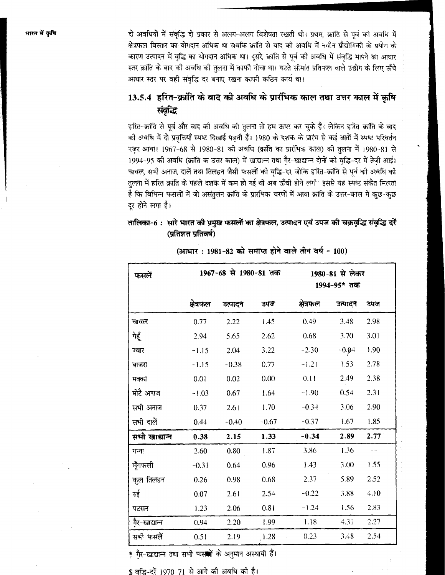दो अवधियों में संवृद्धि दो प्रकार से अलग-अलग विशेषता रखती थी। प्रथम, क्रांति से पूर्व की अवधि में क्षेत्रफल विस्तार का योगदान अधिक था जबकि क्रांति से बाद की अवधि में नवीन प्रौद्योगिकी के प्रयोग के कारण उत्पादन में वृद्धि का योगदान अधिक था। दूसरे, क्रांति से पूर्व की अवधि में संवृद्धि मापने का आधार स्तर क्रांति के बाद की अवधि की तुलना में काफी नीचा था। घटते सीमांत प्रतिफल वाले उद्योग के लिए ऊँचे आधार स्तर पर वही संवृद्धि दर बनाए रखना काफी कठिन कार्य था।

# 13.5.4 हरित-क्रांति के बाद की अवधि के प्रारंभिक काल तथा उत्तर काल में कषि संवृद्धि

हरित-क्रांति से पूर्व और बाद को अवधि को तुलना तो हम ऊपर कर चुके हैं। लेकिन हरित-क्रांति के बाद को अवधि में दो प्रवृत्तियाँ स्पष्ट दिखाई पड़ती हैं। 1980 के दशक के प्रारंभ से कई बातों में स्पष्ट परिवर्तन नज़र आया। 1967-68 से 1980-81 को अवधि (क्रांति का प्रारंभिक काल) को तुलना में 1980-81 से 1994-95 की अवधि (क्रांति क उत्तर काल) में खाद्यान्न तथा गैर-खाद्यान्न दोनों की वद्भि-दर में तेजी आई। चावल, सभी अनाज, दालें तथा तिलहन जैसी फसलों की वृद्धि-दर जोकि हरित-क्रांति से पूर्व की अवधि की तलना में हरित क्रांति के पहले दशक में कम हो गई थी अब ऊँची होने लगी। इससे यह स्पष्ट संकेत मिलता है कि विभिन्न फसलों में जो असंतुलन क्रांति के प्रारंभिक चरणों में आया क्रांति के उत्तर-काल में कुछ-कुछ दर होने लगा है।

## तालिका-6 : सारे भारत की प्रमुख फसलों का क्षेत्रफल, उत्पादन एवं उपज की चक्रवृद्धि संवृद्धि दरें (प्रतिशत प्रतिवर्ष)

| फसलें         | 1967-68 से 1980-81 तक |         |         | 1980-81 से लेकर<br>1994-95* तक |         |      |
|---------------|-----------------------|---------|---------|--------------------------------|---------|------|
|               | क्षेत्रफल             | उत्पादन | उपज     | क्षेत्रफल                      | उत्पादन | उपज  |
| चावल          | 0.77                  | 2.22    | 1.45    | 0.49                           | 3.48    | 2.98 |
| गेहूँ         | 2.94                  | 5.65    | 2.62    | 0.68                           | 3.70    | 3.01 |
| ज्वार         | $-1.15$               | 2.04    | 3.22    | $-2.30$                        | $-0.94$ | 1.90 |
| बाजरा         | $-1.15$               | $-0.38$ | 0.77    | $-1.21$                        | 1.53    | 2.78 |
| मक्का         | 0.01                  | 0.02    | 0.00    | 0.11                           | 2.49    | 2.38 |
| मोटै अनाज     | $-1.03$               | 0.67    | 1.64    | $-1.90$                        | 0.54    | 2.31 |
| सभी अनाज      | 0.37                  | 2.61    | 1.70    | $-0.34$                        | 3.06    | 2.90 |
| सभी दालें     | 0.44                  | $-0.40$ | $-0.67$ | $-0.37$                        | 1.67    | 1.85 |
| सभी खाद्यान्त | 0.38                  | 2.15    | 1.33    | $-0.34$                        | 2.89    | 2.77 |
| गन्ग          | 2.60                  | 0.80    | 1.87    | 3.86                           | 1.36    |      |
| मूँगफली       | $-0.31$               | 0.64    | 0.96    | 1.43                           | 3.00    | 1.55 |
| कुल तिलहन     | 0.26                  | 0.98    | 0.68    | 2.37                           | 5.89    | 2.52 |
| रुई           | $0.07\,$              | 2.61    | 2.54    | $-0.22$                        | 3.88    | 4.10 |
| पटसन          | 1.23                  | 2.06    | 0.81    | $-1.24$                        | 1.56    | 2.83 |
| गैर-खाद्यान्त | 0.94                  | 2.20    | 1.99    | 1.18                           | 4.31    | 2.27 |
| सभी फसलें     | 0.51                  | 2.19    | 1.28    | 0.23                           | 3.48    | 2.54 |

(आधार: 1981-82 को समाप्त होने वाले तीन वर्ष = 100)

\* गैर-खाद्यान्न तथा सभी फर ों के अनुमान अस्थायी हैं।

\$ वद्धि-दरें 1970-71 से आगे की अवधि की है।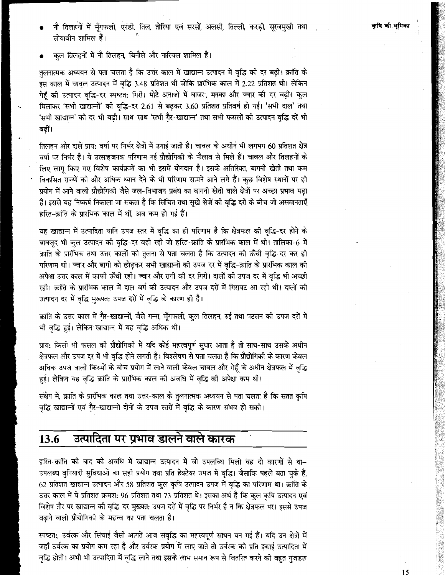- नौ तिलहनों में मूँगफली, एरंडी, तिल, तोरिया एवं सरसों, अलसी, तिल्ली, करड़ी, सूरजमुखी तथा सोयाबीन शामिल हैं।
- कुल तिलहनों में नौ तिलहन, बिनौले और नारियल शामिल हैं।

तुलनात्मक अध्ययन से पता चलता है कि उत्तर काल में खाद्यान्न उत्पादन में वृद्धि की दर बढी। क्रांति के इस काल में चावल उत्पादन में वृद्धि 3.48 प्रतिशत थी जोकि प्रारंभिक काल में 2.22 प्रतिशत थी। लेकिन गेहँ की उत्पादन वद्धि-दर स्पष्टत: गिरी। मोटे अनाजों में बाजरा, मक्का और ज्वार की दर बढ़ी। कुल मिलाकर 'सभी खाद्यान्नों' की वृद्धि-दर 2.61 से बढकर 3.60 प्रतिशत प्रतिवर्ष हो गई। 'सभी दाल' तथा 'सभी खाद्यान्न' की दर भी बढ़ी। साथ-साथ 'सभी गैर-खाद्यान्न' तथा सभी फसलों की उत्पादन वृद्धि दरें भी बढ़ीं।

तिलहन और दालें प्राय: वर्षा पर निर्भर क्षेत्रों में उगाई जाती है। चावल के अधीन भी लगभग 60 प्रतिशत क्षेत्र वर्षा पर निर्भर हैं। ये उत्साहजनक परिणाम नई प्रौद्योगिको के फैलाव से मिले हैं। चावल और तिलहनों के लिए लाग किए गए विशेष कार्यक्रमों का भी इसमें योगदान है। इसके अतिरिक्त, बागनी खेती तथा कम विकसित राज्यों की और अधिक ध्यान देने के भी परिणाम सामने आने लगे हैं। कुछ विशेष स्थानों पर ही प्रयोग में आने वाली प्रौद्योगिकी जैसे जल-विभाजन प्रबंध का बागनी खेती वाले क्षेत्रों पर अच्छा प्रभाव पड़ा है। इससे यह निष्कर्ष निकाला जा सकता है कि सिंचित तथा सुखे क्षेत्रों की वृद्धि दरों के बीच जो असमानताएँ हरित-क्रांति के प्रारंभिक काल में थीं, अब कम हो गई हैं।

यह खाद्यान्न में उत्पादिता यानि उपज स्तर में वृद्धि का ही परिणाम है कि क्षेत्रफल की वृद्धि-दर होने के बावज़ुद भी कुल उत्पादन की वृद्धि-दर वही रही जो हरित-क्रांति के प्रारंभिक काल में थी। तालिका-6ं में क्रांति के प्रारंभिक तथा उत्तर कालों की तलना से पता चलता है कि उत्पादन की ऊँची वद्धि-दर कर ही परिणाम थी। ज्वार और बागी को छोडकर सभी खाद्यान्नों की उपज दर में वृद्धि-क्रांति के प्रारंभिक काल की अपेक्षा उत्तर काल में काफी ऊँची रही। ज्वार और रागी की दर गिरी। दालों की उपज दर में वृद्धि भी अच्छी रही। क्रांति के प्रारंभिक काल में दाल वर्ग की उत्पादन और उपज दरों में गिरावट आ रही थी। दालों की उत्पादन दर में वृद्धि मुख्यत: उपज दरों में वृद्धि के कारण ही है।

क्रांति के उत्तर काल में गै़र-खाद्यान्नों, जैसे गन्ना, मूँगफली, कुल तिलहन, रुई तथा पटसन की उपज दरों में भी वृद्धि हुई। लेकिन खाद्यान्न में यह वृद्धि अधिक थी।

प्राय: किसी भी फसल की प्रौद्योगिकी में यदि कोई महत्त्वपूर्ण सुधार आता है तो साथ-साथ उसके अधीन क्षेत्रफल और उपज दर में भी वृद्धि होने लगती है। विश्लेषण से पता चलता है कि प्रौद्योगिकी के कारण केवल अधिक उपज वाली किस्मों के बीच प्रयोग में लाने वाली केवल चावल और गेहूँ के अधीन क्षेत्रफल में वृद्धि हुई। लेकिन यह वृद्धि क्रांति के प्रारंभिक काल की अवधि में वृद्धि की अपेक्षा कम थी।

संक्षेप में, क्रांति के प्रारंभिक काल तथा उत्तर-काल के तुलनात्मक अध्ययन से पता चलता है कि सतत कृषि वद्धि खाद्यान्नों एवं गैर-खाद्यान्नों दोनों के उपज स्तरों में वृद्धि के कारण संभव हो सकी।

#### उत्पादिता पर प्रभाव डालने वाले कारक 13.6

हरित-क्रांति की बाद की अवधि में खाद्यान्न उत्पादन में जो उपलब्धि मिली वह दो कारणों से था-उपलब्ध बुनियादी सुविधाओं का सही प्रयोग तथा प्रति हेक्टेयर उपज में वृद्धि। जैसाकि पहले बता चुके हैं, 62 प्रतिशत खाद्यान्न उत्पादन और 58 प्रतिशत कुल कृषि उत्पादन उपज में वृद्धि का परिणाम था। क्रांति के उत्तर काल में ये प्रतिशत क्रमश: 96 प्रतिशत तथा 73 प्रतिशत थे। इसका अर्थ है कि कुल कृषि उत्पादन एवं विशेष तौर पर खाद्यान्न की वृद्धि-दर मुख्यत: उपज दरों में वृद्धि पर निर्भर है न कि क्षेत्रफल पर। इससे उपज बढाने वाली प्रौद्योगिकी के महत्त्व का पता चलता है।

स्पष्टतः, उर्वरक और सिंचाई जैसी आगतें आज संवृद्धि का महत्त्वपूर्ण साधन बन गई हैं। यदि उन क्षेत्रों में जहाँ उर्वरक का प्रयोग कम रहा है और उर्वरक प्रयोग में लाए जाते तो उर्वरक की प्रति इकाई उत्पादिता में वद्धि होती। अभी भी उत्पादिता में वृद्धि लाने तथा इसके लाभ समान रूप से वितरित करने की बहत गंजाइश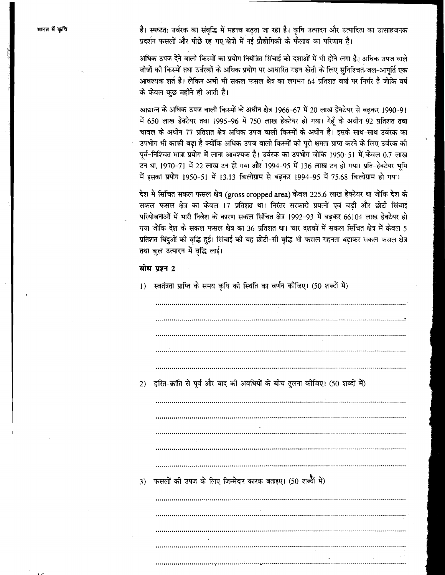है। स्पष्टत: उर्वरक का संवृद्धि में महत्त्व बढ़ता जा रहा है। कृषि उत्पादन और उत्पादिता का उत्साहजनक प्रदर्शन फसलों और पीछे रह गए क्षेत्रों में नई प्रौद्योगिकी के फैलाव का परिणाम है।

अधिक उपज देने वाली किस्मों का प्रयोग नियंत्रित सिंचाई को दशाओं में भी होने लगा है। अधिक उपज वाले .<br>बीजों की किस्मों तथा उर्वरकों के अधिक प्रयोग पर आधारित गहन खेती के लिए सनिश्चित जल-आपर्ति एक आवश्यक शर्त है। लेकिन अभी भी सकल फसल क्षेत्र का लगभग 64 प्रतिशत वर्षा पर निर्भर है जोकि वर्ष के केवल कुछ महीने ही आती है।

खाद्यान्न के अधिक उपज वाली किस्मों के अधीन क्षेत्र 1966-67 में 20 लाख हेक्टेयर से बढ़कर 1990-91 में 650 लाख हेक्टेयर तथा 1995-96 में 750 लाख हेक्टेयर हो गया। गेहँ के अधीन 92 प्रतिशत तथा चावल के अधीन 77 प्रतिशत क्षेत्र अधिक उपज वाली किस्मों के अधीन है। इसके साथ-साथ उर्वरक का उपभोग भी काफी बढ़ा है क्योंकि अधिक उपज वाली किस्मों की पूरी क्षमता प्राप्त करने के लिए उर्वरक की पूर्व-निश्चित मात्रा प्रयोग में लाना आवश्यक है। उर्वरक का उपभोग जोकि 1950-51 में केवल 0.7 लाख .<br>टन था, 1970-71 में 22 लाख टन हो गया और 1994-95 में 136 लाख टन हो गया। प्रति-हेक्टेयर भूमि .<br>में इसका प्रयोग 1950-51 में 13.13 किलोग्राम से बढकर 1994-95 में 75.68 किलोग्राम हो गया।

देश में सिंचित सकल फसल क्षेत्र (gross cropped area) केवल 225.6 लाख हेक्टेयर था जोकि देश के सकल फसल क्षेत्र का केवल 17 प्रतिशत था। निरंतर सरकारी प्रयत्नों एवं बड़ी और छोटी सिंचाई परियोजनाओं में भारी निवेश के कारण सकल सिंचित क्षेत्र 1992-93 में बढकर 66104 लाख हेक्टेयर हो गया जोकि देश के सकल फसल क्षेत्र का 36 प्रतिशत था। चार दशकों में सकल सिंचित क्षेत्र में केवल 5 प्रतिशत बिंदुओं की वृद्धि हुई। सिंचाई की यह छोटी-सी वृद्धि भी फसल गहनता बढ़ाकर सकल फसल क्षेत्र तथा कुल उत्पादन में वृद्धि लाई।

### बोध प्रश्न 2

1) स्वतंत्रता प्राप्ति के समय कृषि की स्थिति का वर्णन कीजिए। (50 शब्दों में)

| 2) | हरित-क्रांति से पूर्व और बाद की अवधियों के बीच तुलना कीजिए। (50 शब्दों में) |
|----|-----------------------------------------------------------------------------|
|    |                                                                             |
|    |                                                                             |
|    |                                                                             |
|    |                                                                             |
|    |                                                                             |
|    |                                                                             |
|    |                                                                             |
| 3) | फसलों की उपज के लिए जिम्मेदार कारक बताइए। (50 शब्दी में)                    |
|    |                                                                             |
|    |                                                                             |
|    |                                                                             |
|    |                                                                             |
|    |                                                                             |
|    |                                                                             |
|    |                                                                             |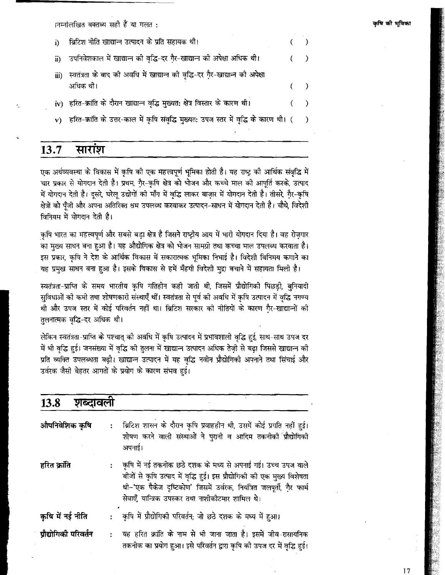ानम्नलिखित वक्तव्य सही हैं या गलत :

| D. | ब्रिटिश नीति खाद्यान्न उत्पादन के प्रति सहायक थी।                                               |  |
|----|-------------------------------------------------------------------------------------------------|--|
|    | ii) उपनिवेशकाल में खाद्यान्न की वृद्धि-दर गै़र-खाद्यान्न की अपेक्षा अधिक थी।                    |  |
|    | iii) स्वतंत्रता के बाद की अवधि में खाद्यान्न की वृद्धि-दर गै़र-खाद्यान्न की अपेक्षा<br>अधिक थी। |  |
|    | iv) हरित-क्रांति के दौरान खाद्यान्न वृद्धि मुख्यत: क्षेत्र विस्तार के कारण थी।                  |  |
|    | v) हरित-क्रांति के उत्तर-काल में कृषि संवृद्धि मुख्यत: उपज स्तर में वृद्धि के कारण थी। ()       |  |

#### 13.7 सारांश

एक अर्थव्यवस्था के विकास में कृषि की एक महत्त्वपूर्ण भूमिका होती है। यह राष्ट्र की आर्थिक संवृद्धि में चार प्रकार से योगदान देती है। प्रथम, गैर-कृषि क्षेत्र को भोजन और कच्चे माल की आपूर्ति करके, उत्पाद में योगदान देती है। दूसरे, घरेलू उद्योगों की माँग में वृद्धि लाकर बाज़ार में योगदान देती है। तीसरे, गैर-कृषि क्षेत्रों को पँजी और अपना अतिरिक्त श्रम उपलब्ध करवाकर उत्पादन-साधन में योगदान देती है। चौथे, विदेशी विनियम में योगदान देती है।

कृषि भारत का महत्त्वपूर्ण और सबसे बड़ा क्षेत्र है जिसने राष्ट्रीय आय में भारी योगदान दिया है। वह रोज़गार का मख्य साधन बना हुआ है। यह औद्योगिक क्षेत्र को भोजन सामग्री तथा कच्चा माल उपलब्ध करवाता है। इस प्रकार, कृषि ने देश के आर्थिक विकास में सकारात्मक भूमिका निभाई है। विदेशी विनिमय कमाने का यह प्रमुख साधन बना हुआ है। इसके विकास से हमें मँहगी विदेशी मुद्रा बचाने में सहायता मिली है।

स्वतंत्रता-प्राप्ति के समय भारतीय कृषि गतिहीन कही जाती थी, जिसमें प्रौद्योगिकी पिछडी, बुनियादी सुविधाओं को कमी तथा शोषणकारी संस्थाएँ थीं। स्वतंत्रता से पूर्व को अवधि में कृषि उत्पादन में वृद्धि नगण्य थी और उपज स्तर में कोई परिवर्तन नहीं था। ब्रिटिश सरकार की नीतियों के कारण गैर-खाद्यान्नों की तलनात्मक वृद्धि-दर अधिक थी।

लेकिन स्वतंत्रता-प्राप्ति के पश्चात् को अवधि में कृषि उत्पादन में प्रभावशाली वृद्धि हुई, साथ-साथ उपज दर में भी वृद्धि हुई। जनसंख्या में वृद्धि की तुलना में खाद्यान्न उत्पादन अधिक तेज़ी से बढ़ा जिससे खाद्यान्न की प्रति व्यक्ति उपलब्धता बढ़ी। खाद्यान्न उत्पादन में यह वृद्धि नवीन प्रौद्योगिकी अपनाने तथा सिंचाई और उर्वरक जैसी बेहतर आगतों के प्रयोग के कारण संभव हई।

| <b>13.8</b><br>शब्दावला |                |                                                                                                                                                                                                                                                                        |
|-------------------------|----------------|------------------------------------------------------------------------------------------------------------------------------------------------------------------------------------------------------------------------------------------------------------------------|
| औपनिवेशिक कृषि          | ÷              | ब्रिटिश शासन के दौरान कृषि प्रवाहहीन थी, उसमें कोई प्रगति नहीं हुई।<br>शोषण करने वाली संस्थाओं ने पुरानी व आदिम तकनीकी प्रौद्योगिकी<br>अपनाई।                                                                                                                          |
| हरित क्रांति            | $\ddot{\cdot}$ | कृषि में नई तकनीक छठे दशक के मध्य से अपनाई गई। उच्च उपज वाले<br>बीजों से कृषि उत्पाद में वृद्धि हुई। इस प्रौद्योगिकी की एक मुख्य विशेषता<br>थी~'एक पैकेज दृष्टिकोण' जिसमें उर्वरक, नियंत्रित जलपूर्ती, गै़र फार्म<br>सेवाएँ, यान्त्रिक उपस्कर तथा नाशीकोटमार शामिल थे। |
| कृषि में नई नीति        |                | कृषि में प्रौद्योगिकी परिवर्तन; जो छठे दशक के मध्य में हुआ।                                                                                                                                                                                                            |
| ग्रौद्योगिकी परिवर्तन   | ÷              | यह हरित क्रांति के नाम से भी जाना जाता है। इसमें जीव-रासायनिक<br>तकनीक का प्रयोग हुआ। इसे परिवर्तन द्वारा कृषि की उपज दर में वृद्धि हुई।                                                                                                                               |

कपि की भमिका

 $17$